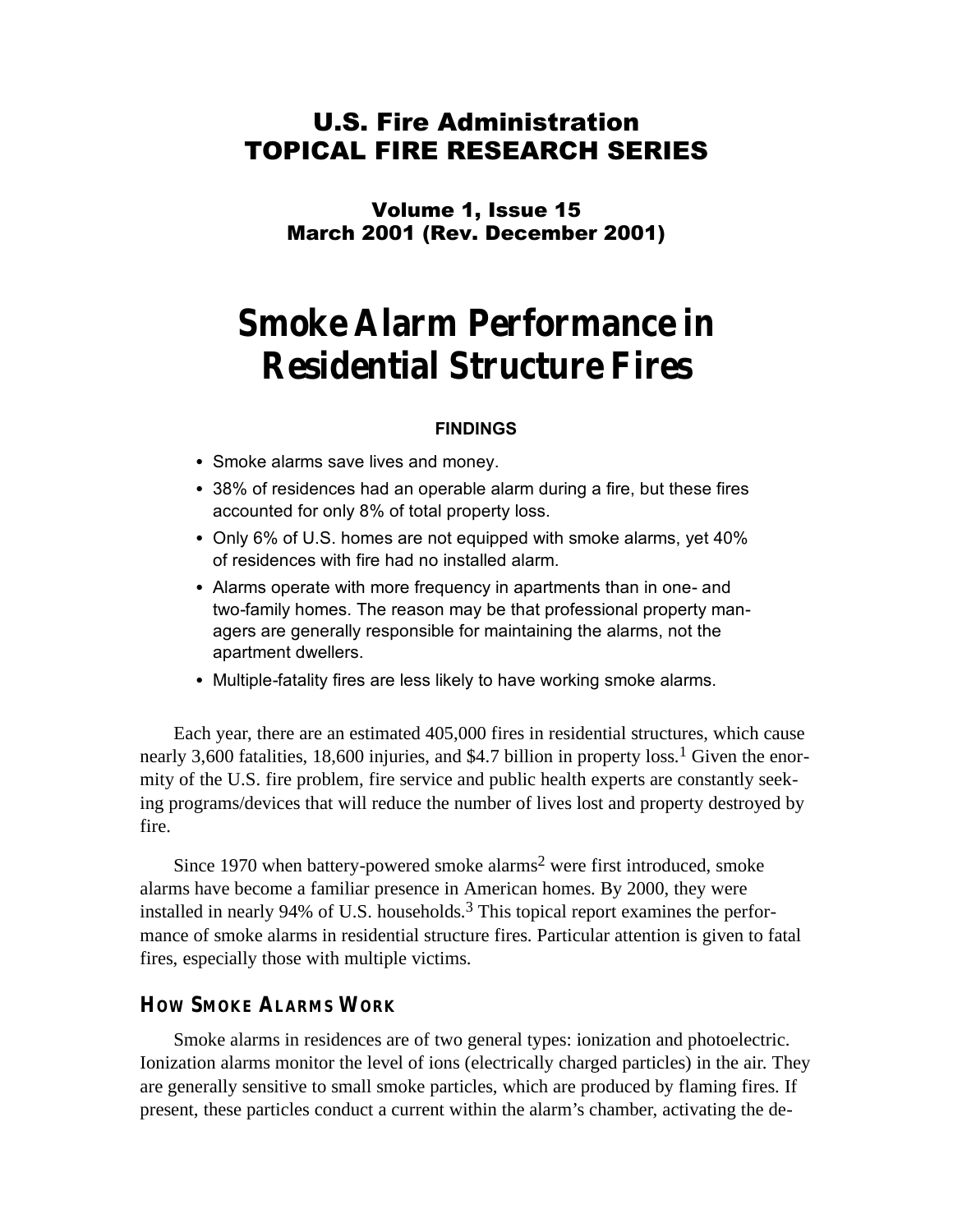# U.S. Fire Administration TOPICAL FIRE RESEARCH SERIES

Volume 1, Issue 15 March 2001 (Rev. December 2001)

# **Smoke Alarm Performance in Residential Structure Fires**

#### **FINDINGS**

- Smoke alarms save lives and money.
- 38% of residences had an operable alarm during a fire, but these fires accounted for only 8% of total property loss.
- Only 6% of U.S. homes are not equipped with smoke alarms, yet 40% of residences with fire had no installed alarm.
- Alarms operate with more frequency in apartments than in one- and two-family homes. The reason may be that professional property managers are generally responsible for maintaining the alarms, not the apartment dwellers.
- Multiple-fatality fires are less likely to have working smoke alarms.

Each year, there are an estimated 405,000 fires in residential structures, which cause nearly 3,600 fatalities, 18,600 injuries, and \$4.7 billion in property loss.<sup>1</sup> Given the enormity of the U.S. fire problem, fire service and public health experts are constantly seeking programs/devices that will reduce the number of lives lost and property destroyed by fire.

Since 1970 when battery-powered smoke alarms2 were first introduced, smoke alarms have become a familiar presence in American homes. By 2000, they were installed in nearly 94% of U.S. households.<sup>3</sup> This topical report examines the performance of smoke alarms in residential structure fires. Particular attention is given to fatal fires, especially those with multiple victims.

#### **HOW SMOKE ALARMS WORK**

Smoke alarms in residences are of two general types: ionization and photoelectric. Ionization alarms monitor the level of ions (electrically charged particles) in the air. They are generally sensitive to small smoke particles, which are produced by flaming fires. If present, these particles conduct a current within the alarm's chamber, activating the de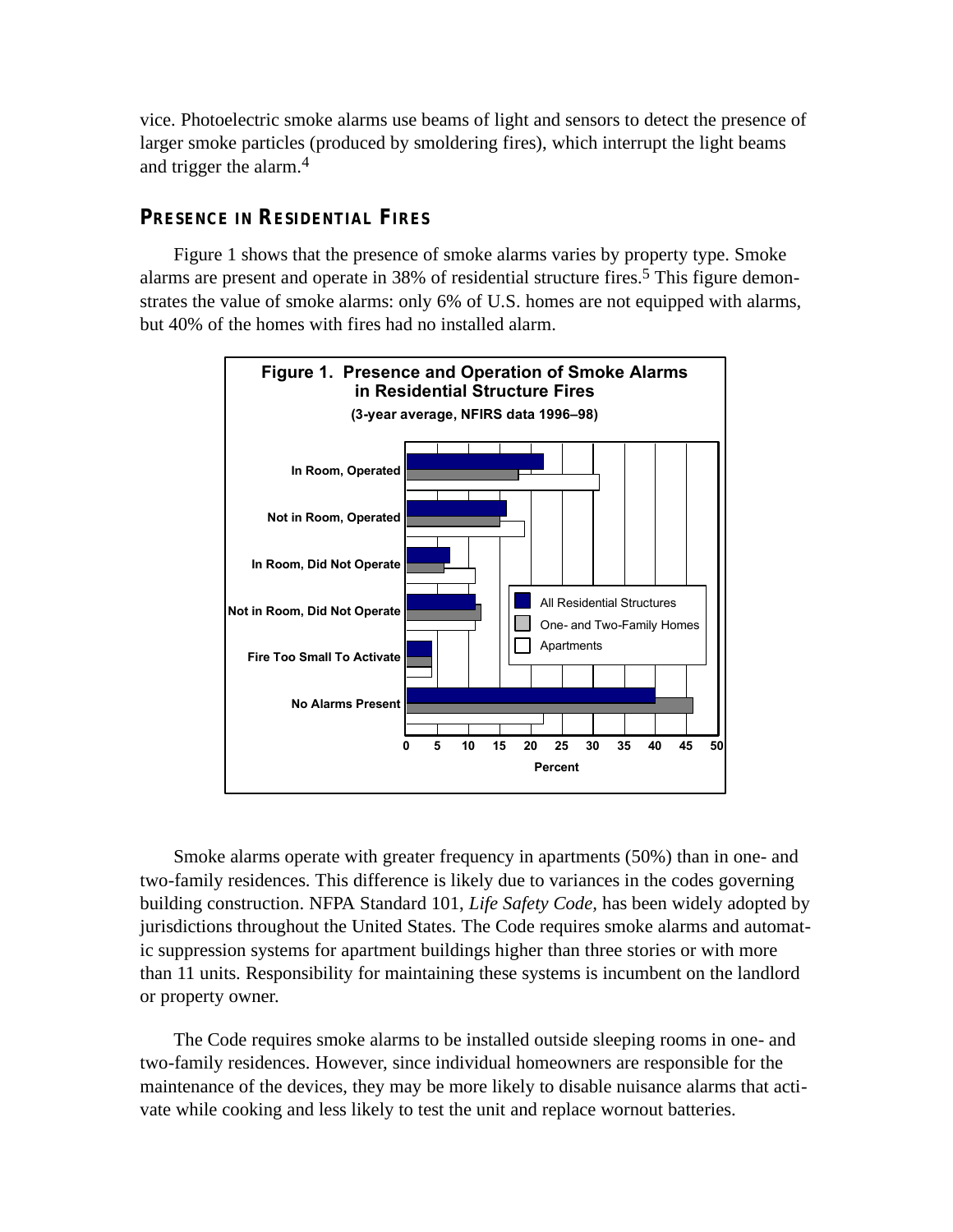vice. Photoelectric smoke alarms use beams of light and sensors to detect the presence of larger smoke particles (produced by smoldering fires), which interrupt the light beams and trigger the alarm. 4

## **PRESENCE IN RESIDENTIAL FIRES**

Figure 1 shows that the presence of smoke alarms varies by property type. Smoke alarms are present and operate in 38% of residential structure fires. 5 This figure demonstrates the value of smoke alarms: only 6% of U.S. homes are not equipped with alarms, but 40% of the homes with fires had no installed alarm.



Smoke alarms operate with greater frequency in apartments (50%) than in one- and two-family residences. This difference is likely due to variances in the codes governing building construction. NFPA Standard 101, *Life Safety Code,* has been widely adopted by jurisdictions throughout the United States. The Code requires smoke alarms and automatic suppression systems for apartment buildings higher than three stories or with more than 11 units. Responsibility for maintaining these systems is incumbent on the landlord or property owner.

The Code requires smoke alarms to be installed outside sleeping rooms in one- and two-family residences. However, since individual homeowners are responsible for the maintenance of the devices, they may be more likely to disable nuisance alarms that activate while cooking and less likely to test the unit and replace wornout batteries.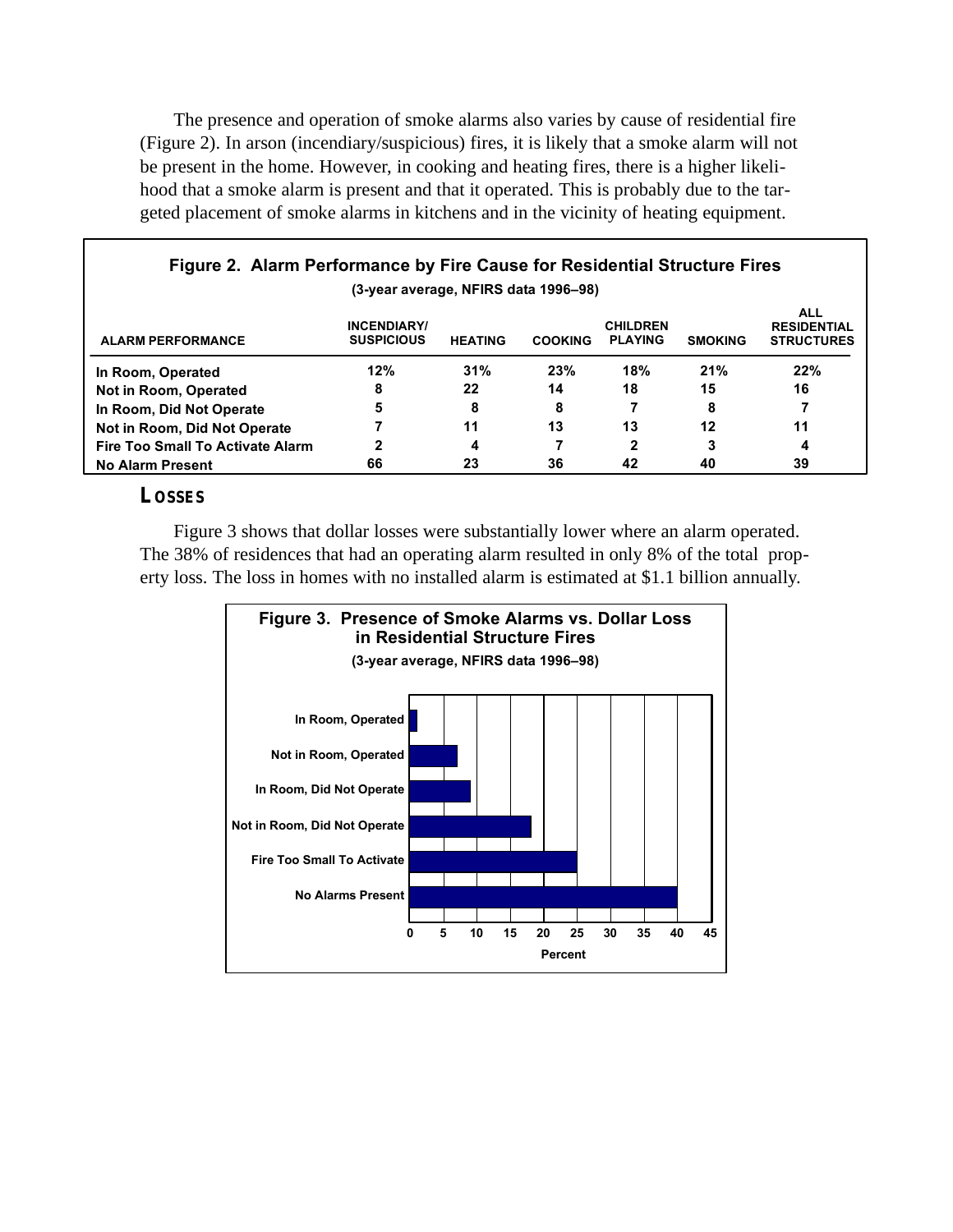The presence and operation of smoke alarms also varies by cause of residential fire (Figure 2). In arson (incendiary/suspicious) fires, it is likely that a smoke alarm will not be present in the home. However, in cooking and heating fires, there is a higher likelihood that a smoke alarm is present and that it operated. This is probably due to the targeted placement of smoke alarms in kitchens and in the vicinity of heating equipment.

| Figure 2. Alarm Performance by Fire Cause for Residential Structure Fires |                                         |                |                |                                   |                |                                                       |  |  |
|---------------------------------------------------------------------------|-----------------------------------------|----------------|----------------|-----------------------------------|----------------|-------------------------------------------------------|--|--|
| (3-year average, NFIRS data 1996-98)                                      |                                         |                |                |                                   |                |                                                       |  |  |
| <b>ALARM PERFORMANCE</b>                                                  | <b>INCENDIARY/</b><br><b>SUSPICIOUS</b> | <b>HEATING</b> | <b>COOKING</b> | <b>CHILDREN</b><br><b>PLAYING</b> | <b>SMOKING</b> | <b>ALL</b><br><b>RESIDENTIAL</b><br><b>STRUCTURES</b> |  |  |
| In Room, Operated                                                         | 12%                                     | 31%            | 23%            | 18%                               | 21%            | 22%                                                   |  |  |
| Not in Room, Operated                                                     | 8                                       | 22             | 14             | 18                                | 15             | 16                                                    |  |  |
| In Room, Did Not Operate                                                  | 5                                       | 8              | 8              |                                   | 8              |                                                       |  |  |
| Not in Room, Did Not Operate                                              |                                         | 11             | 13             | 13                                | 12             | 11                                                    |  |  |
| <b>Fire Too Small To Activate Alarm</b>                                   | 2                                       | 4              |                | 2                                 | 3              | 4                                                     |  |  |
| <b>No Alarm Present</b>                                                   | 66                                      | 23             | 36             | 42                                | 40             | 39                                                    |  |  |

### **LOSSES**

Г

Figure 3 shows that dollar losses were substantially lower where an alarm operated. The 38% of residences that had an operating alarm resulted in only 8% of the total property loss. The loss in homes with no installed alarm is estimated at \$1.1 billion annually.

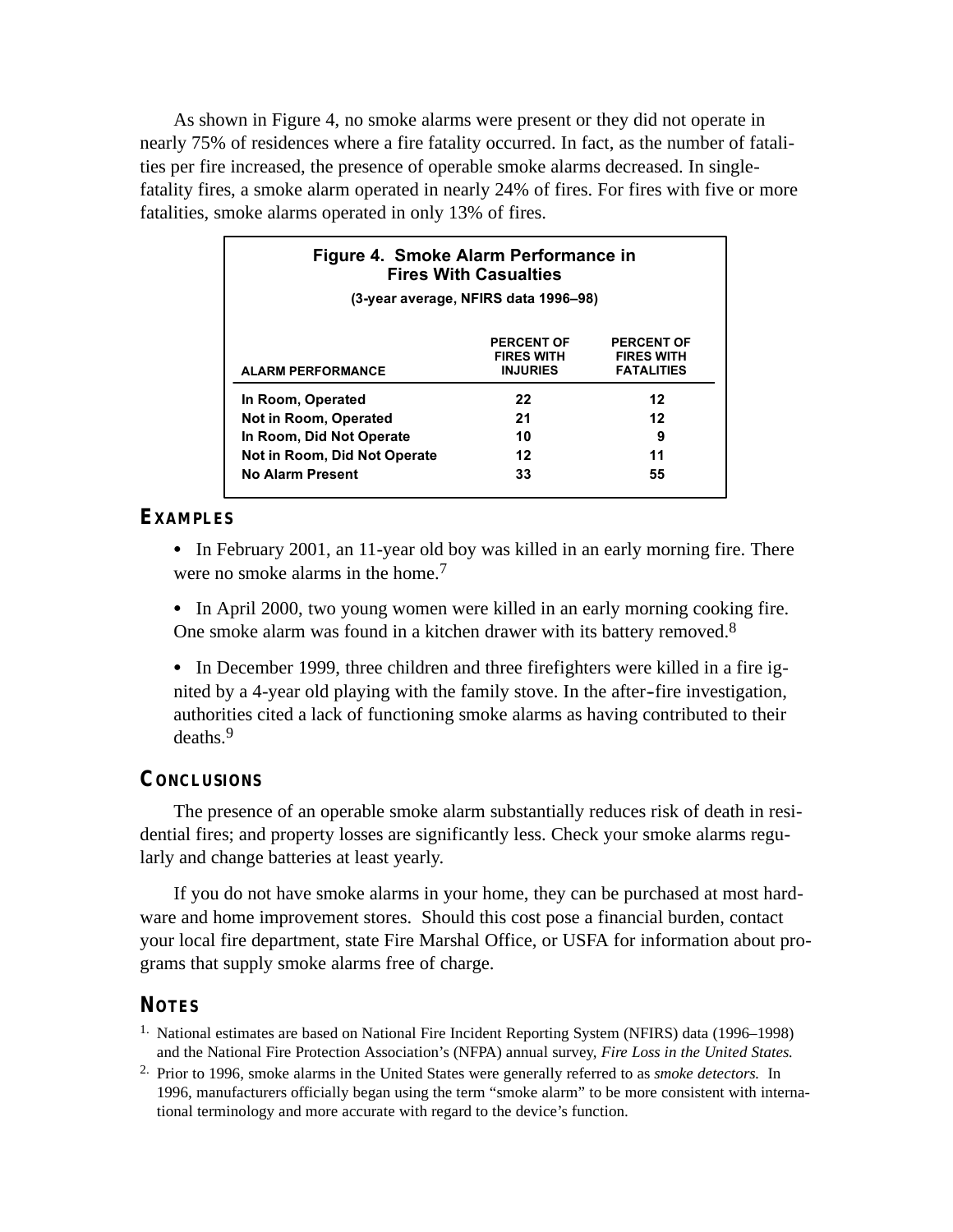As shown in Figure 4, no smoke alarms were present or they did not operate in nearly 75% of residences where a fire fatality occurred. In fact, as the number of fatalities per fire increased, the presence of operable smoke alarms decreased. In singlefatality fires, a smoke alarm operated in nearly 24% of fires. For fires with five or more fatalities, smoke alarms operated in only 13% of fires.

| Figure 4. Smoke Alarm Performance in<br><b>Fires With Casualties</b><br>(3-year average, NFIRS data 1996–98) |    |    |  |  |  |  |
|--------------------------------------------------------------------------------------------------------------|----|----|--|--|--|--|
|                                                                                                              |    |    |  |  |  |  |
| In Room, Operated                                                                                            | 22 | 12 |  |  |  |  |
| Not in Room, Operated                                                                                        | 21 | 12 |  |  |  |  |
| In Room, Did Not Operate                                                                                     | 10 | 9  |  |  |  |  |
| Not in Room, Did Not Operate                                                                                 | 12 | 11 |  |  |  |  |
| No Alarm Present                                                                                             | 33 | 55 |  |  |  |  |

#### **EXAMPLES**

• In February 2001, an 11-year old boy was killed in an early morning fire. There were no smoke alarms in the home.<sup>7</sup>

• In April 2000, two young women were killed in an early morning cooking fire. One smoke alarm was found in a kitchen drawer with its battery removed.8

nited by a 4-year old playing with the family stove. In the after-fire investigation, • In December 1999, three children and three firefighters were killed in a fire igauthorities cited a lack of functioning smoke alarms as having contributed to their deaths. 9

#### **CONCLUSIONS**

The presence of an operable smoke alarm substantially reduces risk of death in residential fires; and property losses are significantly less. Check your smoke alarms regularly and change batteries at least yearly.

If you do not have smoke alarms in your home, they can be purchased at most hardware and home improvement stores. Should this cost pose a financial burden, contact your local fire department, state Fire Marshal Office, or USFA for information about programs that supply smoke alarms free of charge.

### **NOTES**

1. National estimates are based on National Fire Incident Reporting System (NFIRS) data (1996–1998) and the National Fire Protection Association's (NFPA) annual survey, *Fire Loss in the United States.*

2. Prior to 1996, smoke alarms in the United States were generally referred to as *smoke detectors.* In 1996, manufacturers officially began using the term "smoke alarm" to be more consistent with international terminology and more accurate with regard to the device's function.